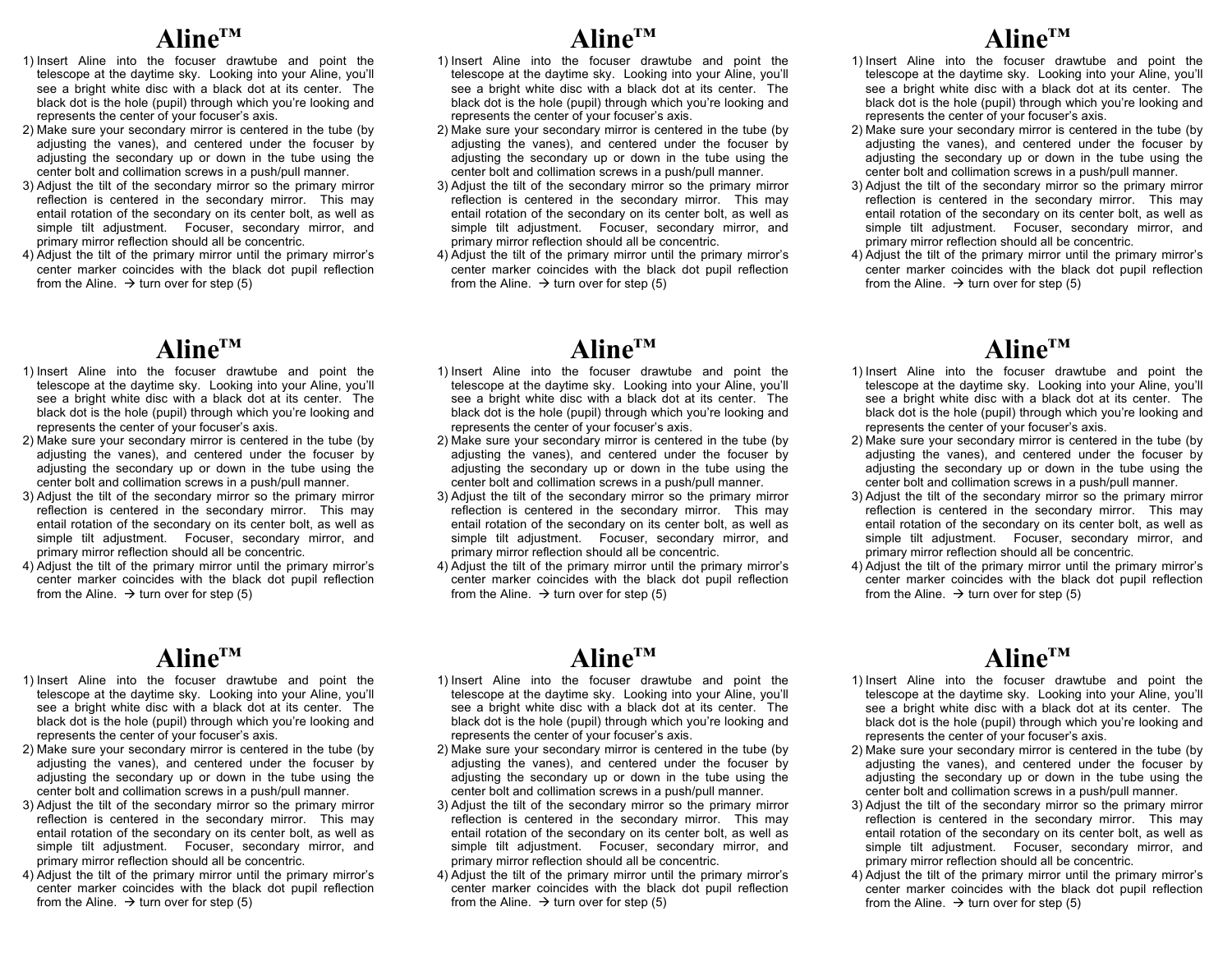# **Aline™**

- 1) Insert Aline into the focuser drawtube and point the telescope at the daytime sky. Looking into your Aline, you'll see a bright white disc with a black dot at its center. The black dot is the hole (pupil) through which you're looking and represents the center of your focuser's axis.
- 2) Make sure your secondary mirror is centered in the tube (by adjusting the vanes), and centered under the focuser by adjusting the secondary up or down in the tube using the center bolt and collimation screws in a push/pull manner.
- 3) Adjust the tilt of the secondary mirror so the primary mirror reflection is centered in the secondary mirror. This may entail rotation of the secondary on its center bolt, as well as simple tilt adjustment. Focuser, secondary mirror, and primary mirror reflection should all be concentric.
- 4) Adjust the tilt of the primary mirror until the primary mirror's center marker coincides with the black dot pupil reflection from the Aline.  $\rightarrow$  turn over for step (5)

## **Aline™**

- 1) Insert Aline into the focuser drawtube and point the telescope at the daytime sky. Looking into your Aline, you'll see a bright white disc with a black dot at its center. The black dot is the hole (pupil) through which you're looking and represents the center of your focuser's axis.
- 2) Make sure your secondary mirror is centered in the tube (by adjusting the vanes), and centered under the focuser by adjusting the secondary up or down in the tube using the center bolt and collimation screws in a push/pull manner.
- 3) Adjust the tilt of the secondary mirror so the primary mirror reflection is centered in the secondary mirror. This may entail rotation of the secondary on its center bolt, as well as simple tilt adjustment. Focuser, secondary mirror, and primary mirror reflection should all be concentric.
- 4) Adjust the tilt of the primary mirror until the primary mirror's center marker coincides with the black dot pupil reflection from the Aline.  $\rightarrow$  turn over for step (5)

# **Aline™**

- 1) Insert Aline into the focuser drawtube and point the telescope at the daytime sky. Looking into your Aline, you'll see a bright white disc with a black dot at its center. The black dot is the hole (pupil) through which you're looking and represents the center of your focuser's axis.
- 2) Make sure your secondary mirror is centered in the tube (by adjusting the vanes), and centered under the focuser by adjusting the secondary up or down in the tube using the center bolt and collimation screws in a push/pull manner.
- 3) Adjust the tilt of the secondary mirror so the primary mirror reflection is centered in the secondary mirror. This may entail rotation of the secondary on its center bolt, as well as simple tilt adjustment. Focuser, secondary mirror, and primary mirror reflection should all be concentric.
- 4) Adjust the tilt of the primary mirror until the primary mirror's center marker coincides with the black dot pupil reflection from the Aline.  $\rightarrow$  turn over for step (5)

#### **Aline™**

- 1) Insert Aline into the focuser drawtube and point the telescope at the daytime sky. Looking into your Aline, you'll see a bright white disc with a black dot at its center. The black dot is the hole (pupil) through which you're looking and represents the center of your focuser's axis.
- 2) Make sure your secondary mirror is centered in the tube (by adjusting the vanes), and centered under the focuser by adjusting the secondary up or down in the tube using the center bolt and collimation screws in a push/pull manner.
- 3) Adjust the tilt of the secondary mirror so the primary mirror reflection is centered in the secondary mirror. This may entail rotation of the secondary on its center bolt, as well as simple tilt adjustment. Focuser, secondary mirror, and primary mirror reflection should all be concentric.
- 4) Adjust the tilt of the primary mirror until the primary mirror's center marker coincides with the black dot pupil reflection from the Aline.  $\rightarrow$  turn over for step (5)

#### **Aline™**

- 1) Insert Aline into the focuser drawtube and point the telescope at the daytime sky. Looking into your Aline, you'll see a bright white disc with a black dot at its center. The black dot is the hole (pupil) through which you're looking and represents the center of your focuser's axis.
- 2) Make sure your secondary mirror is centered in the tube (by adjusting the vanes), and centered under the focuser by adjusting the secondary up or down in the tube using the center bolt and collimation screws in a push/pull manner.
- 3) Adjust the tilt of the secondary mirror so the primary mirror reflection is centered in the secondary mirror. This may entail rotation of the secondary on its center bolt, as well as simple tilt adjustment. Focuser, secondary mirror, and primary mirror reflection should all be concentric.
- 4) Adjust the tilt of the primary mirror until the primary mirror's center marker coincides with the black dot pupil reflection from the Aline.  $\rightarrow$  turn over for step (5)

# **Aline™**

- 1) Insert Aline into the focuser drawtube and point the telescope at the daytime sky. Looking into your Aline, you'll see a bright white disc with a black dot at its center. The black dot is the hole (pupil) through which you're looking and represents the center of your focuser's axis.
- 2) Make sure your secondary mirror is centered in the tube (by adjusting the vanes), and centered under the focuser by adjusting the secondary up or down in the tube using the center bolt and collimation screws in a push/pull manner.
- 3) Adjust the tilt of the secondary mirror so the primary mirror reflection is centered in the secondary mirror. This may entail rotation of the secondary on its center bolt, as well as simple tilt adjustment. Focuser, secondary mirror, and primary mirror reflection should all be concentric.
- 4) Adjust the tilt of the primary mirror until the primary mirror's center marker coincides with the black dot pupil reflection from the Aline.  $\rightarrow$  turn over for step (5)

## **Aline™**

- 1) Insert Aline into the focuser drawtube and point the telescope at the daytime sky. Looking into your Aline, you'll see a bright white disc with a black dot at its center. The black dot is the hole (pupil) through which you're looking and represents the center of your focuser's axis.
- 2) Make sure your secondary mirror is centered in the tube (by adjusting the vanes), and centered under the focuser by adjusting the secondary up or down in the tube using the center bolt and collimation screws in a push/pull manner.
- 3) Adjust the tilt of the secondary mirror so the primary mirror reflection is centered in the secondary mirror. This may entail rotation of the secondary on its center bolt, as well as simple tilt adjustment. Focuser, secondary mirror, and primary mirror reflection should all be concentric.
- 4) Adjust the tilt of the primary mirror until the primary mirror's center marker coincides with the black dot pupil reflection from the Aline.  $\rightarrow$  turn over for step (5)

#### **Aline™**

- 1) Insert Aline into the focuser drawtube and point the telescope at the daytime sky. Looking into your Aline, you'll see a bright white disc with a black dot at its center. The black dot is the hole (pupil) through which you're looking and represents the center of your focuser's axis.
- 2) Make sure your secondary mirror is centered in the tube (by adjusting the vanes), and centered under the focuser by adjusting the secondary up or down in the tube using the center bolt and collimation screws in a push/pull manner.
- 3) Adjust the tilt of the secondary mirror so the primary mirror reflection is centered in the secondary mirror. This may entail rotation of the secondary on its center bolt, as well as simple tilt adjustment. Focuser, secondary mirror, and primary mirror reflection should all be concentric.
- 4) Adjust the tilt of the primary mirror until the primary mirror's center marker coincides with the black dot pupil reflection from the Aline.  $\rightarrow$  turn over for step (5)

# **Aline™**

- 1) Insert Aline into the focuser drawtube and point the telescope at the daytime sky. Looking into your Aline, you'll see a bright white disc with a black dot at its center. The black dot is the hole (pupil) through which you're looking and represents the center of your focuser's axis.
- 2) Make sure your secondary mirror is centered in the tube (by adjusting the vanes), and centered under the focuser by adjusting the secondary up or down in the tube using the center bolt and collimation screws in a push/pull manner.
- 3) Adjust the tilt of the secondary mirror so the primary mirror reflection is centered in the secondary mirror. This may entail rotation of the secondary on its center bolt, as well as simple tilt adjustment. Focuser, secondary mirror, and primary mirror reflection should all be concentric.
- 4) Adjust the tilt of the primary mirror until the primary mirror's center marker coincides with the black dot pupil reflection from the Aline.  $\rightarrow$  turn over for step (5)